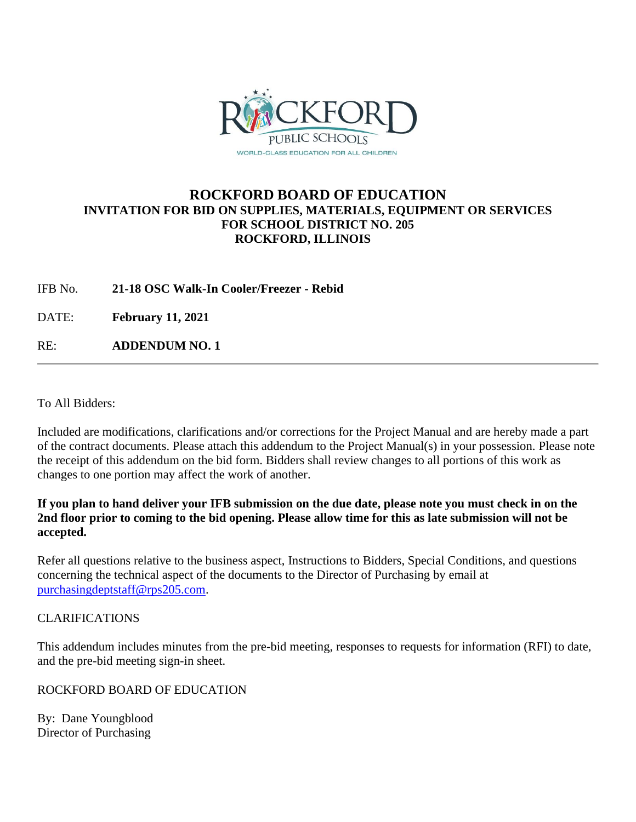

# **ROCKFORD BOARD OF EDUCATION INVITATION FOR BID ON SUPPLIES, MATERIALS, EQUIPMENT OR SERVICES FOR SCHOOL DISTRICT NO. 205 ROCKFORD, ILLINOIS**

# IFB No. **21-18 OSC Walk-In Cooler/Freezer - Rebid**

DATE: **February 11, 2021**

RE: **ADDENDUM NO. 1**

To All Bidders:

Included are modifications, clarifications and/or corrections for the Project Manual and are hereby made a part of the contract documents. Please attach this addendum to the Project Manual(s) in your possession. Please note the receipt of this addendum on the bid form. Bidders shall review changes to all portions of this work as changes to one portion may affect the work of another.

# **If you plan to hand deliver your IFB submission on the due date, please note you must check in on the 2nd floor prior to coming to the bid opening. Please allow time for this as late submission will not be accepted.**

Refer all questions relative to the business aspect, Instructions to Bidders, Special Conditions, and questions concerning the technical aspect of the documents to the Director of Purchasing by email at [purchasingdeptstaff@rps205.com.](mailto:purchasingdeptstaff@rps205.com)

# CLARIFICATIONS

This addendum includes minutes from the pre-bid meeting, responses to requests for information (RFI) to date, and the pre-bid meeting sign-in sheet.

# ROCKFORD BOARD OF EDUCATION

By: Dane Youngblood Director of Purchasing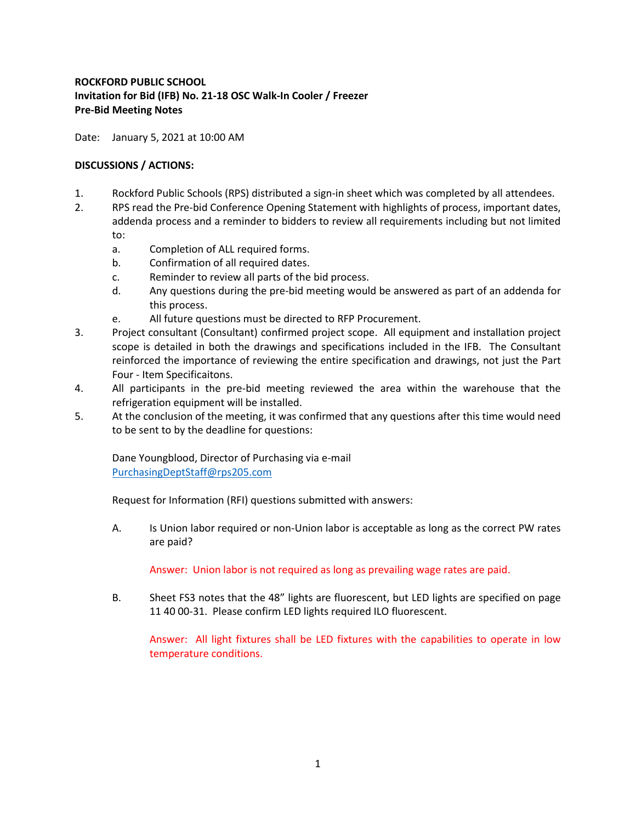# **ROCKFORD PUBLIC SCHOOL Invitation for Bid (IFB) No. 21-18 OSC Walk-In Cooler / Freezer Pre-Bid Meeting Notes**

Date: January 5, 2021 at 10:00 AM

### **DISCUSSIONS / ACTIONS:**

- 1. Rockford Public Schools (RPS) distributed a sign-in sheet which was completed by all attendees.
- 2. RPS read the Pre-bid Conference Opening Statement with highlights of process, important dates, addenda process and a reminder to bidders to review all requirements including but not limited to:
	- a. Completion of ALL required forms.
	- b. Confirmation of all required dates.
	- c. Reminder to review all parts of the bid process.
	- d. Any questions during the pre-bid meeting would be answered as part of an addenda for this process.
	- e. All future questions must be directed to RFP Procurement.
- 3. Project consultant (Consultant) confirmed project scope. All equipment and installation project scope is detailed in both the drawings and specifications included in the IFB. The Consultant reinforced the importance of reviewing the entire specification and drawings, not just the Part Four - Item Specificaitons.
- 4. All participants in the pre-bid meeting reviewed the area within the warehouse that the refrigeration equipment will be installed.
- 5. At the conclusion of the meeting, it was confirmed that any questions after this time would need to be sent to by the deadline for questions:

Dane Youngblood, Director of Purchasing via e-mail [PurchasingDeptStaff@rps205.com](mailto:PurchasingDeptStaff@rps205.com)

Request for Information (RFI) questions submitted with answers:

A. Is Union labor required or non-Union labor is acceptable as long as the correct PW rates are paid?

Answer: Union labor is not required as long as prevailing wage rates are paid.

B. Sheet FS3 notes that the 48" lights are fluorescent, but LED lights are specified on page 11 40 00-31. Please confirm LED lights required ILO fluorescent.

Answer: All light fixtures shall be LED fixtures with the capabilities to operate in low temperature conditions.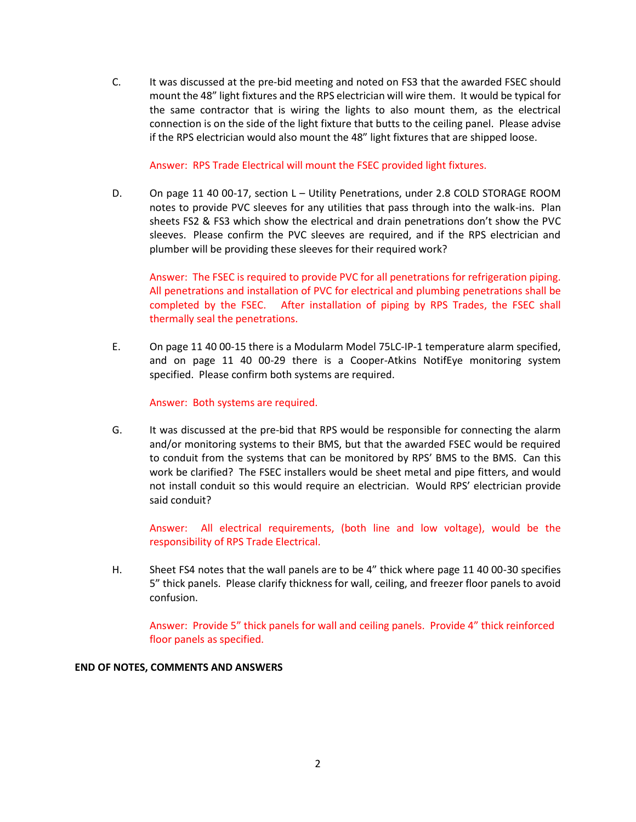C. It was discussed at the pre-bid meeting and noted on FS3 that the awarded FSEC should mount the 48" light fixtures and the RPS electrician will wire them. It would be typical for the same contractor that is wiring the lights to also mount them, as the electrical connection is on the side of the light fixture that butts to the ceiling panel. Please advise if the RPS electrician would also mount the 48" light fixtures that are shipped loose.

Answer: RPS Trade Electrical will mount the FSEC provided light fixtures.

D. On page 11 40 00-17, section L - Utility Penetrations, under 2.8 COLD STORAGE ROOM notes to provide PVC sleeves for any utilities that pass through into the walk-ins. Plan sheets FS2 & FS3 which show the electrical and drain penetrations don't show the PVC sleeves. Please confirm the PVC sleeves are required, and if the RPS electrician and plumber will be providing these sleeves for their required work?

Answer: The FSEC is required to provide PVC for all penetrations for refrigeration piping. All penetrations and installation of PVC for electrical and plumbing penetrations shall be completed by the FSEC. After installation of piping by RPS Trades, the FSEC shall thermally seal the penetrations.

E. On page 11 40 00-15 there is a Modularm Model 75LC-IP-1 temperature alarm specified, and on page 11 40 00-29 there is a Cooper-Atkins NotifEye monitoring system specified. Please confirm both systems are required.

Answer: Both systems are required.

G. It was discussed at the pre-bid that RPS would be responsible for connecting the alarm and/or monitoring systems to their BMS, but that the awarded FSEC would be required to conduit from the systems that can be monitored by RPS' BMS to the BMS. Can this work be clarified? The FSEC installers would be sheet metal and pipe fitters, and would not install conduit so this would require an electrician. Would RPS' electrician provide said conduit?

Answer: All electrical requirements, (both line and low voltage), would be the responsibility of RPS Trade Electrical.

H. Sheet FS4 notes that the wall panels are to be 4" thick where page 11 40 00-30 specifies 5" thick panels. Please clarify thickness for wall, ceiling, and freezer floor panels to avoid confusion.

Answer: Provide 5" thick panels for wall and ceiling panels. Provide 4" thick reinforced floor panels as specified.

### **END OF NOTES, COMMENTS AND ANSWERS**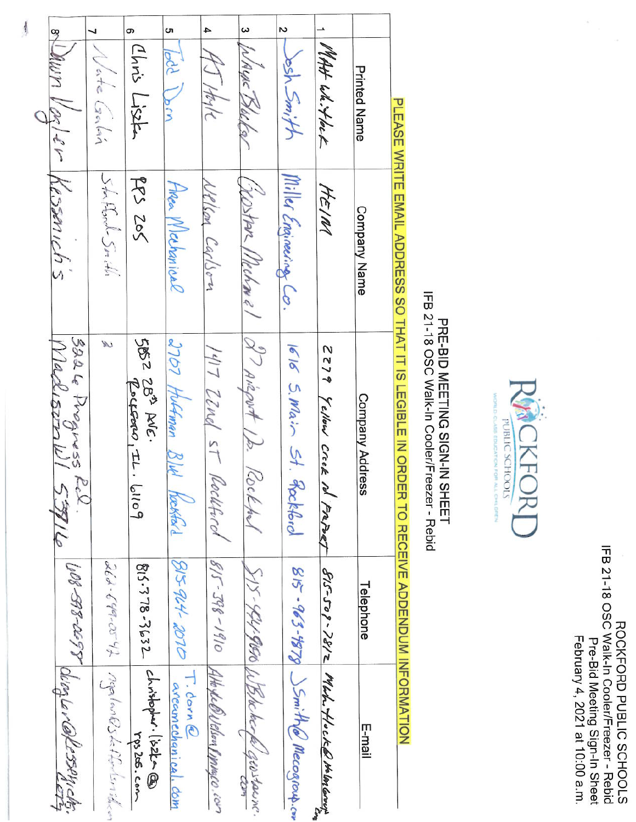ROCKFORD PUBLIC SCHOOLS<br>IFB 21-18 OSC Walk-In Cooler/Freezer - Rebid<br>Pre-Bid Meeting Sign-In Sheet<br>February 4, 2021 at 10:00 a.m.



# IFB 21-18 OSC Walk-In Cooler/Freezer - Rebid PRE-BID MEETING SIGN-IN SHEET

PLEASE WRITE EMAIL ADDRESS SO THAT IT IS LEGIBLE IN ORDER TO RECEIVE ADDENDUM INFORMATION

|                                       |                                    | თ                                                              | ហ                           | 4                                          | $\omega$                                | N                                               |                                            |                        |
|---------------------------------------|------------------------------------|----------------------------------------------------------------|-----------------------------|--------------------------------------------|-----------------------------------------|-------------------------------------------------|--------------------------------------------|------------------------|
| olling Valer Kessmichs                | Wate Galin                         | Chris Lisse                                                    | bod Dom                     | HJ Hoste                                   | WAYNE Blue Por                          | Jesh Smith                                      | MAH Wh. Hock                               | <b>Printed Name</b>    |
|                                       | Stafford Snith                     | PPS 205                                                        | Anger Mechanical            | Welson Carlson                             |                                         | Miller Engineering Co.                          | HEIM                                       | <b>Company Name</b>    |
| 3224 Progress Rel.<br>MadisonWI 53916 | W                                  | 5052 28 <sup>3</sup> AVE.<br>$q^{\text{opt}}(x_1, y_1, y_2)$   | 2707 Huffman 8/4<br>Kækfald | 1417 ZZnal st Rockhock                     | (YOStAR Mechanel 97 Arigort 12. Rockhol | 1616 S. Main St.<br>Reekhool                    | 2279 Yellow Creek<br>M Frazet              | <b>Company Address</b> |
|                                       |                                    |                                                                | $\beta$ 594-2010 T. Corn @  |                                            |                                         |                                                 |                                            | Telephone              |
| WORD-DEPT WIRD NONDERSTAY             | 262-649-0542 MaplosBb6fortomillion | 815.378.3632   chistopher. list-@<br>$Y_{\varphi}$ s les . Lom | arecunechanical. dom        | $8/5$ T98-1910 Atto & ONBlood Tippagco.com | SIS-441-9650 WBNe beck geostaine.       | $g_{15} - 963 - 9979$ $\leq m$ there necessary. | $B(S-507-2872)$ Med. Hocker the long cover | liam-1                 |

 $\frac{1}{3}$